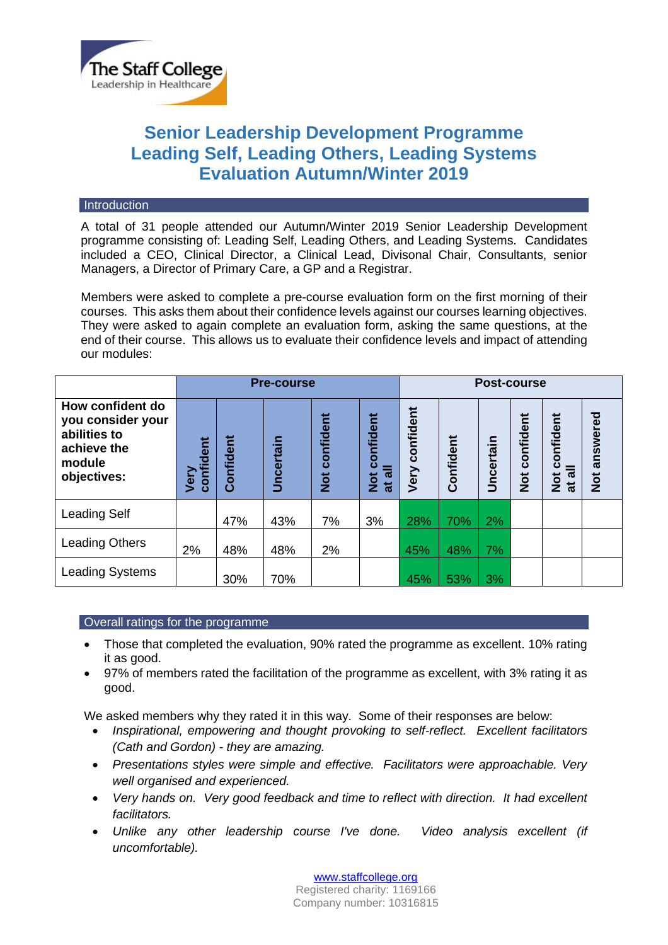

# **Senior Leadership Development Programme Leading Self, Leading Others, Leading Systems Evaluation Autumn/Winter 2019**

#### **Introduction**

A total of 31 people attended our Autumn/Winter 2019 Senior Leadership Development programme consisting of: Leading Self, Leading Others, and Leading Systems. Candidates included a CEO, Clinical Director, a Clinical Lead, Divisonal Chair, Consultants, senior Managers, a Director of Primary Care, a GP and a Registrar.

Members were asked to complete a pre-course evaluation form on the first morning of their courses. This asks them about their confidence levels against our courses learning objectives. They were asked to again complete an evaluation form, asking the same questions, at the end of their course. This allows us to evaluate their confidence levels and impact of attending our modules:

|                                                                                               | <b>Pre-course</b> |           |                  |                            |                                          | Post-course       |           |           |                            |                                                                           |                          |
|-----------------------------------------------------------------------------------------------|-------------------|-----------|------------------|----------------------------|------------------------------------------|-------------------|-----------|-----------|----------------------------|---------------------------------------------------------------------------|--------------------------|
| How confident do<br>you consider your<br>abilities to<br>achieve the<br>module<br>objectives: | confident<br>Very | Confident | <b>Uncertain</b> | confident<br>$\frac{1}{2}$ | onfident<br>Õ<br>ಕ<br>$\frac{5}{2}$<br>ಹ | confident<br>Very | Confident | Uncertain | confident<br>$\frac{1}{2}$ | confident<br>$\overline{\overline{\sigma}}$<br>$\frac{1}{2}$<br>$\vec{a}$ | ಕ್ಷ<br>answe<br><b>D</b> |
| <b>Leading Self</b>                                                                           |                   | 47%       | 43%              | 7%                         | 3%                                       | 28%               | 70%       | 2%        |                            |                                                                           |                          |
| <b>Leading Others</b>                                                                         | 2%                | 48%       | 48%              | 2%                         |                                          | 45%               | 48%       | 7%        |                            |                                                                           |                          |
| <b>Leading Systems</b>                                                                        |                   | 30%       | 70%              |                            |                                          | 45%               | 53%       | 3%        |                            |                                                                           |                          |

## Overall ratings for the programme

- Those that completed the evaluation, 90% rated the programme as excellent. 10% rating it as good.
- 97% of members rated the facilitation of the programme as excellent, with 3% rating it as good.

We asked members why they rated it in this way. Some of their responses are below:

- *Inspirational, empowering and thought provoking to self-reflect. Excellent facilitators (Cath and Gordon) - they are amazing.*
- *Presentations styles were simple and effective. Facilitators were approachable. Very well organised and experienced.*
- *Very hands on. Very good feedback and time to reflect with direction. It had excellent facilitators.*
- *Unlike any other leadership course I've done. Video analysis excellent (if uncomfortable).*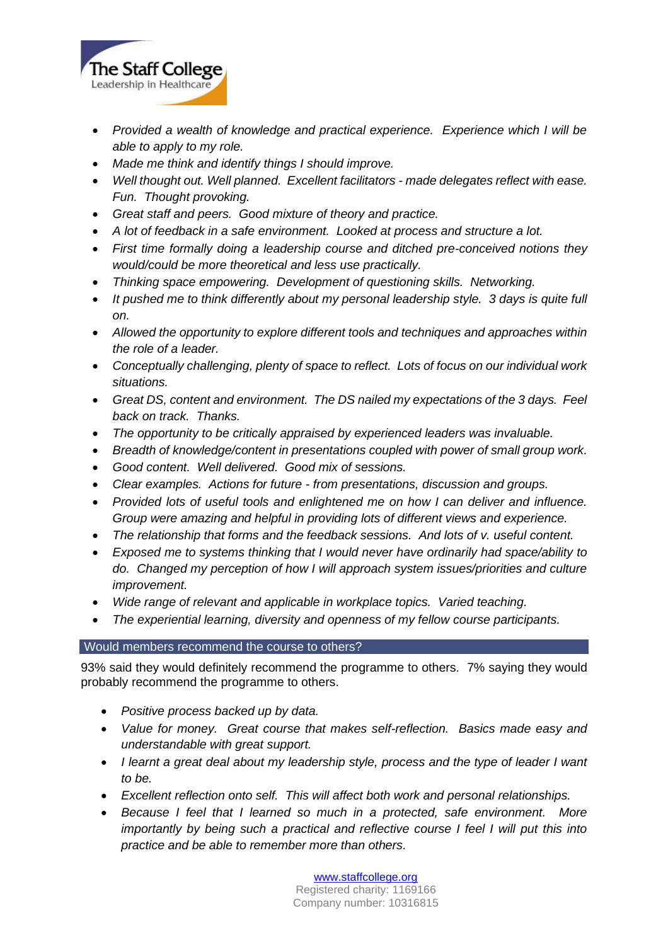

- *Provided a wealth of knowledge and practical experience. Experience which I will be able to apply to my role.*
- *Made me think and identify things I should improve.*
- *Well thought out. Well planned. Excellent facilitators - made delegates reflect with ease. Fun. Thought provoking.*
- *Great staff and peers. Good mixture of theory and practice.*
- *A lot of feedback in a safe environment. Looked at process and structure a lot.*
- *First time formally doing a leadership course and ditched pre-conceived notions they would/could be more theoretical and less use practically.*
- *Thinking space empowering. Development of questioning skills. Networking.*
- *It pushed me to think differently about my personal leadership style. 3 days is quite full on.*
- *Allowed the opportunity to explore different tools and techniques and approaches within the role of a leader.*
- *Conceptually challenging, plenty of space to reflect. Lots of focus on our individual work situations.*
- *Great DS, content and environment. The DS nailed my expectations of the 3 days. Feel back on track. Thanks.*
- *The opportunity to be critically appraised by experienced leaders was invaluable.*
- *Breadth of knowledge/content in presentations coupled with power of small group work.*
- *Good content. Well delivered. Good mix of sessions.*
- *Clear examples. Actions for future - from presentations, discussion and groups.*
- *Provided lots of useful tools and enlightened me on how I can deliver and influence. Group were amazing and helpful in providing lots of different views and experience.*
- *The relationship that forms and the feedback sessions. And lots of v. useful content.*
- *Exposed me to systems thinking that I would never have ordinarily had space/ability to do. Changed my perception of how I will approach system issues/priorities and culture improvement.*
- *Wide range of relevant and applicable in workplace topics. Varied teaching.*
- *The experiential learning, diversity and openness of my fellow course participants.*

## Would members recommend the course to others?

93% said they would definitely recommend the programme to others. 7% saying they would probably recommend the programme to others.

- *Positive process backed up by data.*
- *Value for money. Great course that makes self-reflection. Basics made easy and understandable with great support.*
- *I learnt a great deal about my leadership style, process and the type of leader I want to be.*
- *Excellent reflection onto self. This will affect both work and personal relationships.*
- *Because I feel that I learned so much in a protected, safe environment. More importantly by being such a practical and reflective course I feel I will put this into practice and be able to remember more than others.*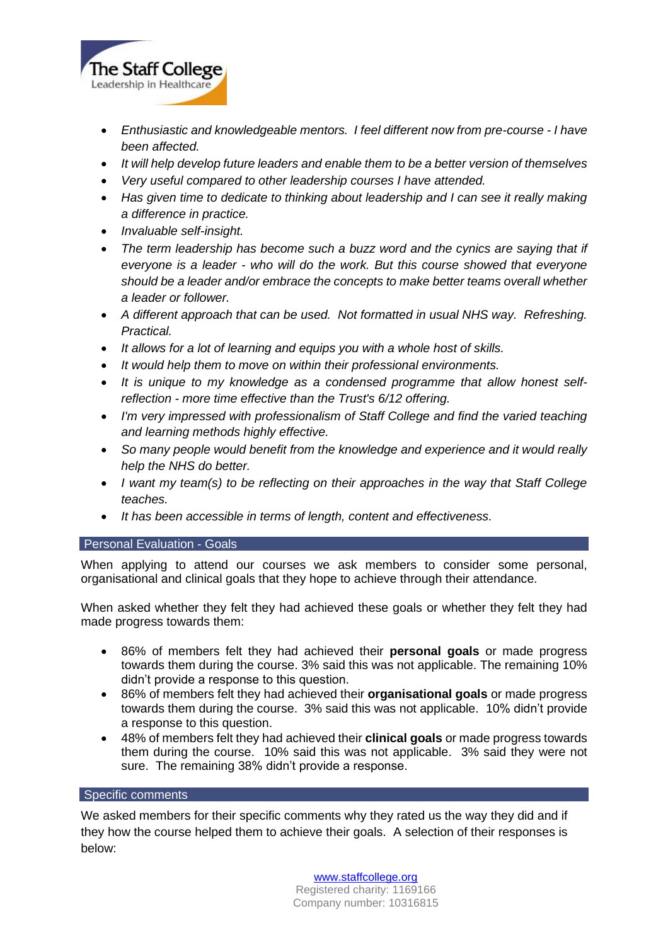

- *Enthusiastic and knowledgeable mentors. I feel different now from pre-course - I have been affected.*
- *It will help develop future leaders and enable them to be a better version of themselves*
- *Very useful compared to other leadership courses I have attended.*
- *Has given time to dedicate to thinking about leadership and I can see it really making a difference in practice.*
- *Invaluable self-insight.*
- *The term leadership has become such a buzz word and the cynics are saying that if everyone is a leader - who will do the work. But this course showed that everyone should be a leader and/or embrace the concepts to make better teams overall whether a leader or follower.*
- A different approach that can be used. Not formatted in usual NHS way. Refreshing. *Practical.*
- *It allows for a lot of learning and equips you with a whole host of skills.*
- *It would help them to move on within their professional environments.*
- *It is unique to my knowledge as a condensed programme that allow honest selfreflection - more time effective than the Trust's 6/12 offering.*
- *I'm very impressed with professionalism of Staff College and find the varied teaching and learning methods highly effective.*
- *So many people would benefit from the knowledge and experience and it would really help the NHS do better.*
- *I want my team(s) to be reflecting on their approaches in the way that Staff College teaches.*
- *It has been accessible in terms of length, content and effectiveness.*

### Personal Evaluation - Goals

When applying to attend our courses we ask members to consider some personal, organisational and clinical goals that they hope to achieve through their attendance.

When asked whether they felt they had achieved these goals or whether they felt they had made progress towards them:

- 86% of members felt they had achieved their **personal goals** or made progress towards them during the course. 3% said this was not applicable. The remaining 10% didn't provide a response to this question.
- 86% of members felt they had achieved their **organisational goals** or made progress towards them during the course. 3% said this was not applicable. 10% didn't provide a response to this question.
- 48% of members felt they had achieved their **clinical goals** or made progress towards them during the course. 10% said this was not applicable. 3% said they were not sure. The remaining 38% didn't provide a response.

### Specific comments

We asked members for their specific comments why they rated us the way they did and if they how the course helped them to achieve their goals. A selection of their responses is below:

> [www.staffcollege.org](http://www.staffcollege.org/) Registered charity: 1169166 Company number: 10316815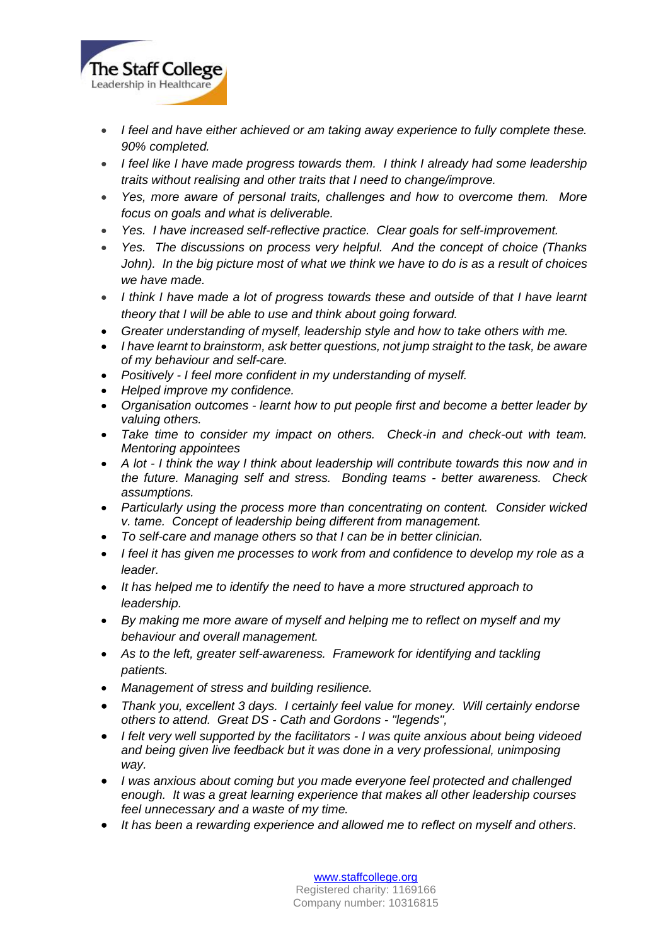

- *I feel and have either achieved or am taking away experience to fully complete these. 90% completed.*
- *I feel like I have made progress towards them. I think I already had some leadership traits without realising and other traits that I need to change/improve.*
- *Yes, more aware of personal traits, challenges and how to overcome them. More focus on goals and what is deliverable.*
- *Yes. I have increased self-reflective practice. Clear goals for self-improvement.*
- *Yes. The discussions on process very helpful. And the concept of choice (Thanks John). In the big picture most of what we think we have to do is as a result of choices we have made.*
- *I think I have made a lot of progress towards these and outside of that I have learnt theory that I will be able to use and think about going forward.*
- *Greater understanding of myself, leadership style and how to take others with me.*
- *I have learnt to brainstorm, ask better questions, not jump straight to the task, be aware of my behaviour and self-care.*
- *Positively - I feel more confident in my understanding of myself.*
- *Helped improve my confidence.*
- *Organisation outcomes - learnt how to put people first and become a better leader by valuing others.*
- *Take time to consider my impact on others. Check-in and check-out with team. Mentoring appointees*
- *A lot - I think the way I think about leadership will contribute towards this now and in the future. Managing self and stress. Bonding teams - better awareness. Check assumptions.*
- *Particularly using the process more than concentrating on content. Consider wicked v. tame. Concept of leadership being different from management.*
- *To self-care and manage others so that I can be in better clinician.*
- *I feel it has given me processes to work from and confidence to develop my role as a leader.*
- *It has helped me to identify the need to have a more structured approach to leadership.*
- *By making me more aware of myself and helping me to reflect on myself and my behaviour and overall management.*
- As to the left, greater self-awareness. Framework for identifying and tackling *patients.*
- *Management of stress and building resilience.*
- *Thank you, excellent 3 days. I certainly feel value for money. Will certainly endorse others to attend. Great DS - Cath and Gordons - "legends",*
- *I felt very well supported by the facilitators - I was quite anxious about being videoed and being given live feedback but it was done in a very professional, unimposing way.*
- *I was anxious about coming but you made everyone feel protected and challenged enough. It was a great learning experience that makes all other leadership courses feel unnecessary and a waste of my time.*
- *It has been a rewarding experience and allowed me to reflect on myself and others.*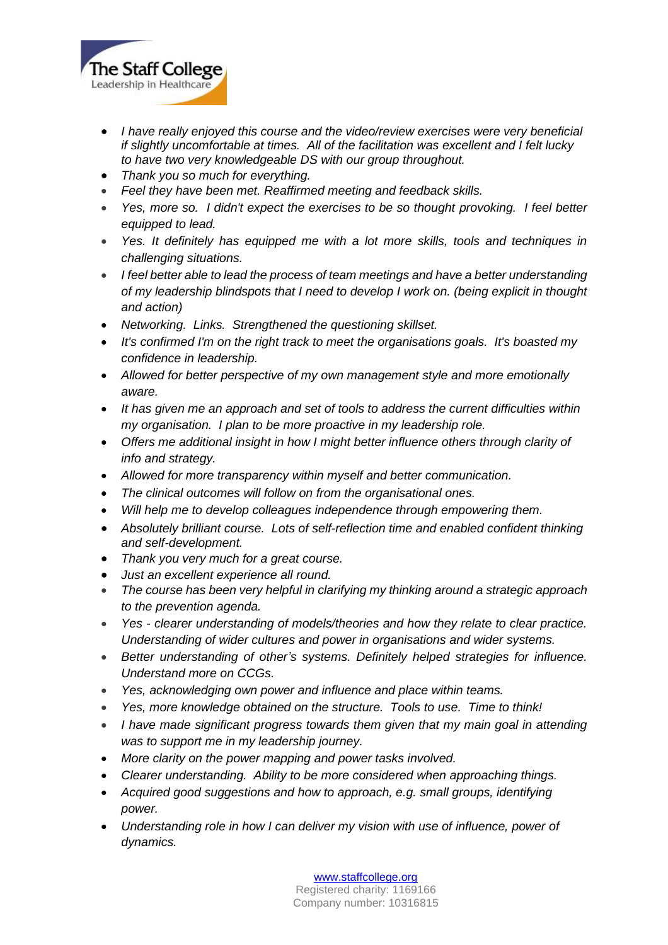

- *I have really enjoyed this course and the video/review exercises were very beneficial if slightly uncomfortable at times. All of the facilitation was excellent and I felt lucky to have two very knowledgeable DS with our group throughout.*
- *Thank you so much for everything.*
- *Feel they have been met. Reaffirmed meeting and feedback skills.*
- *Yes, more so. I didn't expect the exercises to be so thought provoking. I feel better equipped to lead.*
- *Yes. It definitely has equipped me with a lot more skills, tools and techniques in challenging situations.*
- *I feel better able to lead the process of team meetings and have a better understanding of my leadership blindspots that I need to develop I work on. (being explicit in thought and action)*
- *Networking. Links. Strengthened the questioning skillset.*
- *It's confirmed I'm on the right track to meet the organisations goals. It's boasted my confidence in leadership.*
- *Allowed for better perspective of my own management style and more emotionally aware.*
- *It has given me an approach and set of tools to address the current difficulties within my organisation. I plan to be more proactive in my leadership role.*
- *Offers me additional insight in how I might better influence others through clarity of info and strategy.*
- *Allowed for more transparency within myself and better communication.*
- *The clinical outcomes will follow on from the organisational ones.*
- *Will help me to develop colleagues independence through empowering them.*
- *Absolutely brilliant course. Lots of self-reflection time and enabled confident thinking and self-development.*
- *Thank you very much for a great course.*
- *Just an excellent experience all round.*
- *The course has been very helpful in clarifying my thinking around a strategic approach to the prevention agenda.*
- *Yes - clearer understanding of models/theories and how they relate to clear practice. Understanding of wider cultures and power in organisations and wider systems.*
- *Better understanding of other's systems. Definitely helped strategies for influence. Understand more on CCGs.*
- *Yes, acknowledging own power and influence and place within teams.*
- *Yes, more knowledge obtained on the structure. Tools to use. Time to think!*
- *I have made significant progress towards them given that my main goal in attending was to support me in my leadership journey.*
- *More clarity on the power mapping and power tasks involved.*
- *Clearer understanding. Ability to be more considered when approaching things.*
- *Acquired good suggestions and how to approach, e.g. small groups, identifying power.*
- *Understanding role in how I can deliver my vision with use of influence, power of dynamics.*